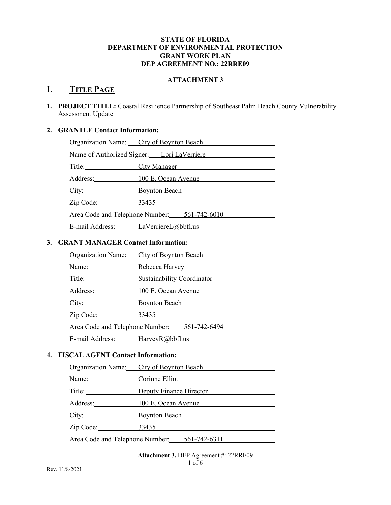### STATE OF FLORIDA DEPARTMENT OF ENVIRONMENTAL PROTECTION GRANT WORK PLAN DEP AGREEMENT NO.: 22RRE09

### ATTACHMENT 3

# I. TITLE PAGE

1. PROJECT TITLE: Coastal Resilience Partnership of Southeast Palm Beach County Vulnerability Assessment Update

# 2. GRANTEE Contact Information:

|                              | Organization Name: City of Boynton Beach     |
|------------------------------|----------------------------------------------|
|                              | Name of Authorized Signer: Lori LaVerriere   |
|                              | <b>City Manager</b>                          |
| Address: 100 E. Ocean Avenue |                                              |
|                              | City: Boynton Beach                          |
| Zip Code: 33435              |                                              |
|                              | Area Code and Telephone Number: 561-742-6010 |
|                              | E-mail Address: LaVerriereL@bbfl.us          |
|                              |                                              |

# 3. GRANT MANAGER Contact Information:

|                                 | Organization Name: City of Boynton Beach     |
|---------------------------------|----------------------------------------------|
| Name:                           | Rebecca Harvey                               |
| Title: Title:                   | <b>Sustainability Coordinator</b>            |
| Address:                        | 100 E. Ocean Avenue                          |
| City:                           | <b>Boynton Beach</b>                         |
| Zip Code:                       | 33435                                        |
|                                 | Area Code and Telephone Number: 561-742-6494 |
| E-mail Address: HarveyR@bbfl.us |                                              |

# 4. FISCAL AGENT Contact Information:

|           | Organization Name: City of Boynton Beach     |
|-----------|----------------------------------------------|
| Name:     | Corinne Elliot                               |
|           | Deputy Finance Director                      |
| Address:  | 100 E. Ocean Avenue                          |
| City:     | <b>Boynton Beach</b>                         |
| Zip Code: | 33435                                        |
|           | Area Code and Telephone Number: 561-742-6311 |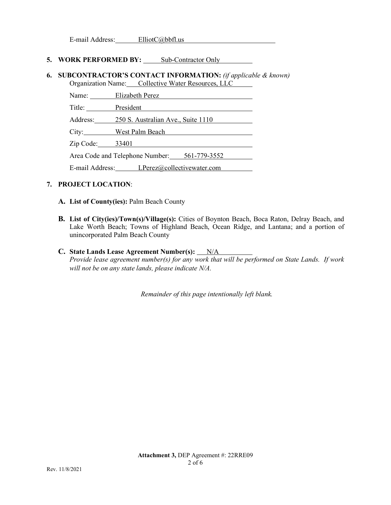E-mail Address: ElliotC@bbfl.us

#### 5. WORK PERFORMED BY: Sub-Contractor Only

#### 6. SUBCONTRACTOR'S CONTACT INFORMATION: (if applicable & known) Organization Name: Collective Water Resources, LLC

Name: Elizabeth Perez

Title: President

Address: 250 S. Australian Ave., Suite 1110

City: West Palm Beach

Zip Code: 33401

Area Code and Telephone Number: 561-779-3552<br>E-mail Address: LPerez@collectivewater.com

## 7. PROJECT LOCATION:

- A. List of County(ies): Palm Beach County
- B. List of City(ies)/Town(s)/Village(s): Cities of Boynton Beach, Boca Raton, Delray Beach, and Lake Worth Beach; Towns of Highland Beach, Ocean Ridge, and Lantana; and a portion of unincorporated Palm Beach County
- C. State Lands Lease Agreement Number(s):  $N/A$ Provide lease agreement number(s) for any work that will be performed on State Lands. If work will not be on any state lands, please indicate N/A.

Remainder of this page intentionally left blank.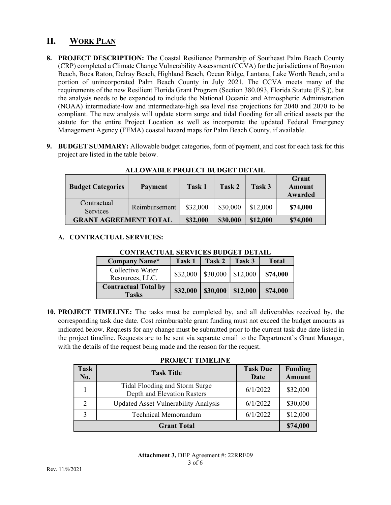# II. WORK PLAN

- 8. PROJECT DESCRIPTION: The Coastal Resilience Partnership of Southeast Palm Beach County (CRP) completed a Climate Change Vulnerability Assessment (CCVA) for the jurisdictions of Boynton Beach, Boca Raton, Delray Beach, Highland Beach, Ocean Ridge, Lantana, Lake Worth Beach, and a portion of unincorporated Palm Beach County in July 2021. The CCVA meets many of the requirements of the new Resilient Florida Grant Program (Section 380.093, Florida Statute (F.S.)), but the analysis needs to be expanded to include the National Oceanic and Atmospheric Administration (NOAA) intermediate-low and intermediate-high sea level rise projections for 2040 and 2070 to be compliant. The new analysis will update storm surge and tidal flooding for all critical assets per the statute for the entire Project Location as well as incorporate the updated Federal Emergency Management Agency (FEMA) coastal hazard maps for Palm Beach County, if available.
- 9. BUDGET SUMMARY: Allowable budget categories, form of payment, and cost for each task for this project are listed in the table below.

| <b>Budget Categories</b>     | Payment       | Task 1   | Task 2   | Task 3   | Grant<br>Amount<br>Awarded |
|------------------------------|---------------|----------|----------|----------|----------------------------|
| Contractual<br>Services      | Reimbursement | \$32,000 | \$30,000 | \$12,000 | \$74,000                   |
| <b>GRANT AGREEMENT TOTAL</b> |               | \$32,000 | \$30,000 | \$12,000 | \$74,000                   |

ALLOWABLE PROJECT BUDGET DETAIL

## A. CONTRACTUAL SERVICES:

CONTRACTUAL SERVICES BUDGET DETAIL

| Company Name*                               | Task 1   | <b>Task 2</b> | Task 3          | <b>Total</b> |
|---------------------------------------------|----------|---------------|-----------------|--------------|
| Collective Water<br>Resources, LLC.         | \$32,000 | \$30,000      | $\frac{$1,000}$ | \$74,000     |
| <b>Contractual Total by</b><br><b>Tasks</b> | \$32,000 | \$30,000      | \$12,000        | \$74,000     |

10. PROJECT TIMELINE: The tasks must be completed by, and all deliverables received by, the corresponding task due date. Cost reimbursable grant funding must not exceed the budget amounts as indicated below. Requests for any change must be submitted prior to the current task due date listed in the project timeline. Requests are to be sent via separate email to the Department's Grant Manager, with the details of the request being made and the reason for the request.

### PROJECT TIMELINE

| Task<br>No.        | <b>Task Title</b>                                             | <b>Task Due</b><br>Date | <b>Funding</b><br><b>Amount</b> |
|--------------------|---------------------------------------------------------------|-------------------------|---------------------------------|
|                    | Tidal Flooding and Storm Surge<br>Depth and Elevation Rasters | 6/1/2022                | \$32,000                        |
| 2                  | <b>Updated Asset Vulnerability Analysis</b>                   | 6/1/2022                | \$30,000                        |
| 3                  | <b>Technical Memorandum</b>                                   | 6/1/2022                | \$12,000                        |
| <b>Grant Total</b> |                                                               |                         | \$74,000                        |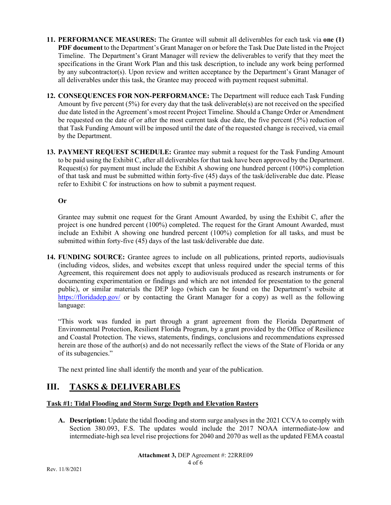- 11. PERFORMANCE MEASURES: The Grantee will submit all deliverables for each task via one (1) PDF document to the Department's Grant Manager on or before the Task Due Date listed in the Project Timeline. The Department's Grant Manager will review the deliverables to verify that they meet the specifications in the Grant Work Plan and this task description, to include any work being performed by any subcontractor(s). Upon review and written acceptance by the Department's Grant Manager of all deliverables under this task, the Grantee may proceed with payment request submittal.
- 12. CONSEQUENCES FOR NON-PERFORMANCE: The Department will reduce each Task Funding Amount by five percent (5%) for every day that the task deliverable(s) are not received on the specified due date listed in the Agreement's most recent Project Timeline. Should a Change Order or Amendment be requested on the date of or after the most current task due date, the five percent (5%) reduction of that Task Funding Amount will be imposed until the date of the requested change is received, via email by the Department.
- 13. PAYMENT REQUEST SCHEDULE: Grantee may submit a request for the Task Funding Amount to be paid using the Exhibit C, after all deliverables for that task have been approved by the Department. Request(s) for payment must include the Exhibit A showing one hundred percent (100%) completion of that task and must be submitted within forty-five (45) days of the task/deliverable due date. Please refer to Exhibit C for instructions on how to submit a payment request.

## Or

 Grantee may submit one request for the Grant Amount Awarded, by using the Exhibit C, after the project is one hundred percent (100%) completed. The request for the Grant Amount Awarded, must include an Exhibit A showing one hundred percent (100%) completion for all tasks, and must be submitted within forty-five (45) days of the last task/deliverable due date.

14. FUNDING SOURCE: Grantee agrees to include on all publications, printed reports, audiovisuals (including videos, slides, and websites except that unless required under the special terms of this Agreement, this requirement does not apply to audiovisuals produced as research instruments or for documenting experimentation or findings and which are not intended for presentation to the general public), or similar materials the DEP logo (which can be found on the Department's website at https://floridadep.gov/ or by contacting the Grant Manager for a copy) as well as the following language:

"This work was funded in part through a grant agreement from the Florida Department of Environmental Protection, Resilient Florida Program, by a grant provided by the Office of Resilience and Coastal Protection. The views, statements, findings, conclusions and recommendations expressed herein are those of the author(s) and do not necessarily reflect the views of the State of Florida or any of its subagencies."

The next printed line shall identify the month and year of the publication.

# III. TASKS & DELIVERABLES

## Task #1: Tidal Flooding and Storm Surge Depth and Elevation Rasters

A. Description: Update the tidal flooding and storm surge analyses in the 2021 CCVA to comply with Section 380.093, F.S. The updates would include the 2017 NOAA intermediate-low and intermediate-high sea level rise projections for 2040 and 2070 as well as the updated FEMA coastal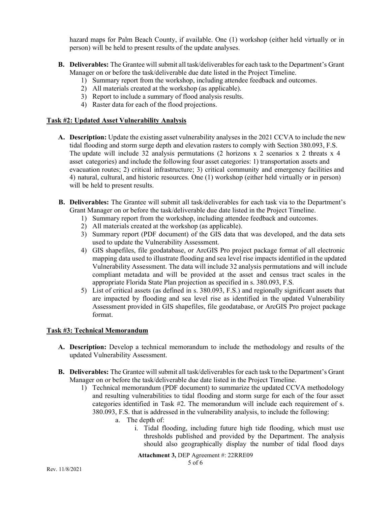hazard maps for Palm Beach County, if available. One (1) workshop (either held virtually or in person) will be held to present results of the update analyses.

- hazard maps for Palm Beach County, if available. One (1) workshop (either held virtually or in<br>person) will be held to present results of the update analyses.<br>**B.** Deliverables: The Grantee will submit all task/deliverable Manager on or before the task/deliverable due date listed in the Project Timeline. 1) Summary report from the workshop, including attendee feedback and outcomes. and maps for Palm Beach County, if available. One (1) workshop (either held<br>
on) will be held to present results of the update analyses.<br> **Exercubes:** The Grantee will submit all task/deliverables for each task to the Depa and maps for Palm Beach County, if available. One (1) workshop (either held<br>
in (an) will be held to present results of the update analyses.<br> **iverables:** The Grantee will submit all task/deliverables for each task to the
	- -
	-
	-

### Task #2: Updated Asset Vulnerability Analysis

- and maps for Palm Beach County, if available. One (1) workshop (either held<br>
an) will be held to present results of the update analyses.<br> **Exercubes:** The Grantee will submit all task/deliverables for each task to the Depa A. Description: Update the existing asset vulnerability analyses in the 2021 CCVA to include the new tidal flooding and storm surge depth and elevation rasters to comply with Section 380.093, F.S. The update will include 32 analysis permutations (2 horizons  $x$  2 scenarios  $x$  2 threats  $x$  4 asset categories) and include the following four asset categories: 1) transportation assets and evacuation routes; 2) critical infrastructure; 3) critical community and emergency facilities and 4) natural, cultural, and historic resources. One (1) workshop (either held virtually or in person) will be held to present results.
- B. Deliverables: The Grantee will submit all task/deliverables for each task via to the Department's Grant Manager on or before the task/deliverable due date listed in the Project Timeline.
	- 1) Summary report from the workshop, including attendee feedback and outcomes.
	- 2) All materials created at the workshop (as applicable).
	- 3) Summary report (PDF document) of the GIS data that was developed, and the data sets used to update the Vulnerability Assessment.
- 4) GIS shapefiles, file geodatabase, or ArcGIS Pro project package format of all electronic mapping data used to illustrate flooding and sea level rise impacts identified in the updated Vulnerability Assessment. The data will include 32 analysis permutations and will include compliant metadata and will be provided at the asset and census tract scales in the appropriate Florida State Plan projection as specified in s. 380.093, F.S. **B.** Deliverables: The Grantee will submit all task/deliverables for each task via to the Department's<br>
Gram Manager on or before the task/deliverable due date listed in the Project Timeline.<br>
1) Summary report from the w 1) Summary report from the workshop, including attended focedback and outcomes.<br>
2) All materials reasted at the workshop (as applicable).<br>
3) Summary report (PDF document) of the GIS data that was developed, and the data 3) Summary report (PDF document) or the GIS data that was developed, and the data sets<br>
used to update the Vulnearability Assessment. The data will melude 32 analysis permutations and will include<br>
valnearability Assessme
	- 5) List of critical assets (as defined in s. 380.093, F.S.) and regionally significant assets that are impacted by flooding and sea level rise as identified in the updated Vulnerability Assessment provided in GIS shapefiles, file geodatabase, or ArcGIS Pro project package format.

## Task #3: Technical Memorandum

- updated Vulnerability Assessment.
- Manager on or before the task/deliverable due date listed in the Project Timeline.
- and resulting vulnerabilities to tidal flooding and storm surge for each of the four asset categories identified in Task #2. The memorandum will include each requirement of s. 380.093, F.S. that is addressed in the vulnerability analysis, to include the following: bility Assessment. The data will include 32 analysis permutations and will include<br>the metadata and will be provided at the asset and census trate scales in<br>the metadata and will be provided at the asset and census trate s adata and will be provided at the asset and census tract scales in the bridal State Plan projection as specified in s. 380.093, F.S.) and regionally significant assets that by flooding and sea level rise as identified in t
	- - thresholds published and provided by the Department. The analysis should also geographically display the number of tidal flood days

Attachment 3, DEP Agreement #: 22RRE09